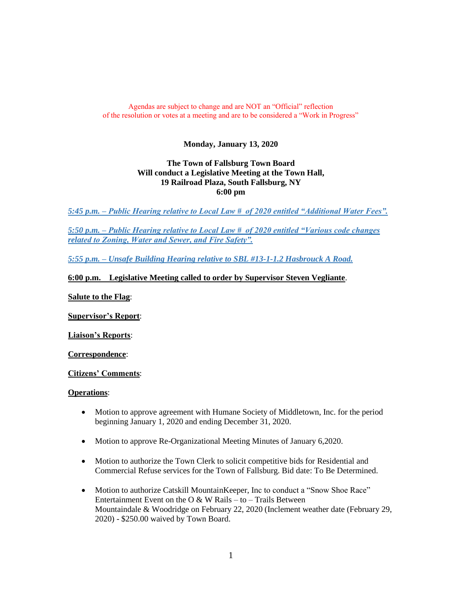### Agendas are subject to change and are NOT an "Official" reflection of the resolution or votes at a meeting and are to be considered a "Work in Progress"

# **Monday, January 13, 2020**

# **The Town of Fallsburg Town Board Will conduct a Legislative Meeting at the Town Hall, 19 Railroad Plaza, South Fallsburg, NY 6:00 pm**

*5:45 p.m. – Public Hearing relative to Local Law # of 2020 entitled "Additional Water Fees".*

*5:50 p.m. – Public Hearing relative to Local Law # of 2020 entitled "Various code changes related to Zoning, Water and Sewer, and Fire Safety".*

*5:55 p.m. – Unsafe Building Hearing relative to SBL #13-1-1.2 Hasbrouck A Road.*

# **6:00 p.m. Legislative Meeting called to order by Supervisor Steven Vegliante**.

**Salute to the Flag**:

**Supervisor's Report**:

**Liaison's Reports**:

**Correspondence**:

**Citizens' Comments**:

#### **Operations**:

- Motion to approve agreement with Humane Society of Middletown, Inc. for the period beginning January 1, 2020 and ending December 31, 2020.
- Motion to approve Re-Organizational Meeting Minutes of January 6,2020.
- Motion to authorize the Town Clerk to solicit competitive bids for Residential and Commercial Refuse services for the Town of Fallsburg. Bid date: To Be Determined.
- Motion to authorize Catskill MountainKeeper, Inc to conduct a "Snow Shoe Race" Entertainment Event on the O  $\&$  W Rails – to – Trails Between Mountaindale & Woodridge on February 22, 2020 (Inclement weather date (February 29, 2020) - \$250.00 waived by Town Board.